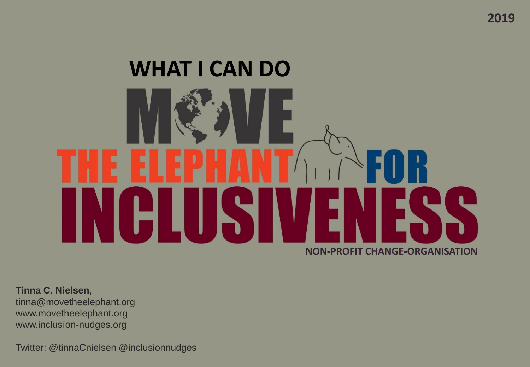# **NON-PROFIT CHANGE-ORGANISATION WHAT I CAN DO**

**Tinna C. Nielsen**, tinna@movetheelephant.org www.movetheelephant.org www.inclusíon-nudges.org

Twitter: @tinnaCnielsen @inclusionnudges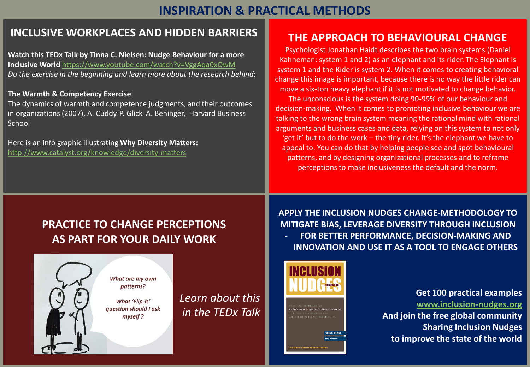#### **INSPIRATION & PRACTICAL METHODS**

#### **INCLUSIVE WORKPLACES AND HIDDEN BARRIERS**

**Watch this TEDx Talk by Tinna C. Nielsen: Nudge Behaviour for a more Inclusive World** <https://www.youtube.com/watch?v=VggAqa0xOwM> *Do the exercise in the beginning and learn more about the research behind*:

#### **The Warmth & Competency Exercise**

The dynamics of warmth and competence judgments, and their outcomes in organizations (2007), A. Cuddy P. Glick A. Beninger, Harvard Business **School** 

Here is an info graphic illustrating **Why Diversity Matters:** <http://www.catalyst.org/knowledge/diversity-matters>

#### **THE APPROACH TO BEHAVIOURAL CHANGE**

Psychologist Jonathan Haidt describes the two brain systems (Daniel Kahneman: system 1 and 2) as an elephant and its rider. The Elephant is system 1 and the Rider is system 2. When it comes to creating behavioral change this image is important, because there is no way the little rider can move a six-ton heavy elephant if it is not motivated to change behavior.

The unconscious is the system doing 90-99% of our behaviour and decision-making. When it comes to promoting inclusive behaviour we are talking to the wrong brain system meaning the rational mind with rational arguments and business cases and data, relying on this system to not only 'get it' but to do the work – the tiny rider. It's the elephant we have to appeal to. You can do that by helping people see and spot behavioural patterns, and by designing organizational processes and to reframe perceptions to make inclusiveness the default and the norm.

#### **PRACTICE TO CHANGE PERCEPTIONS AS PART FOR YOUR DAILY WORK**

What are my own patterns?

**What 'Flip-it'** 

myself?



*Learn about this in the TEDx Talk* **APPLY THE INCLUSION NUDGES CHANGE-METHODOLOGY TO MITIGATE BIAS, LEVERAGE DIVERSITY THROUGH INCLUSION**  - **FOR BETTER PERFORMANCE, DECISION-MAKING AND INNOVATION AND USE IT AS A TOOL TO ENGAGE OTHERS**



**Get 100 practical examples [www.inclusion-nudges.org](http://www.inclusion-nudges.org/) And join the free global community Sharing Inclusion Nudges to improve the state of the world**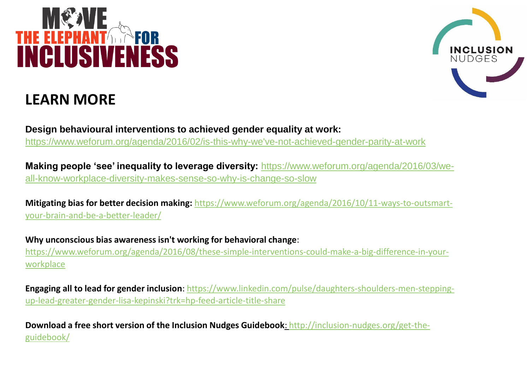## **INCLUSIVENESS**

### **LEARN MORE**



**Design behavioural interventions to achieved gender equality at work:**  [https://www.weforum.org/agenda/2016/02/is-this-why-we've-not-achieved-gender-parity-at-work](https://www.weforum.org/agenda/2016/02/is-this-why-we)

**Making people 'see' inequality to leverage diversity:** https://www.weforum.org/agenda/2016/03/we[all-know-workplace-diversity-makes-sense-so-why-is-change-so-slow](https://www.weforum.org/agenda/2016/03/we-all-know-workplace-diversity-makes-sense-so-why-is-change-so-slow)

**Mitigating bias for better decision making:** [https://www.weforum.org/agenda/2016/10/11-ways-to-outsmart](https://www.weforum.org/agenda/2016/10/11-ways-to-outsmart-your-brain-and-be-a-better-leader/)your-brain-and-be-a-better-leader/

**Why unconscious bias awareness isn't working for behavioral change**: [https://www.weforum.org/agenda/2016/08/these-simple-interventions-could-make-a-big-difference-in-your](https://www.weforum.org/agenda/2016/08/these-simple-interventions-could-make-a-big-difference-in-your-workplace)workplace

**Engaging all to lead for gender inclusion**[: https://www.linkedin.com/pulse/daughters-shoulders-men-stepping](https://www.linkedin.com/pulse/daughters-shoulders-men-stepping-up-lead-greater-gender-lisa-kepinski?trk=hp-feed-article-title-share)up-lead-greater-gender-lisa-kepinski?trk=hp-feed-article-title-share

**[Download a free short version of the Inclusion Nudges Guidebook](http://inclusion-nudges.org/get-the-guidebook/)**: http://inclusion-nudges.org/get-theguidebook/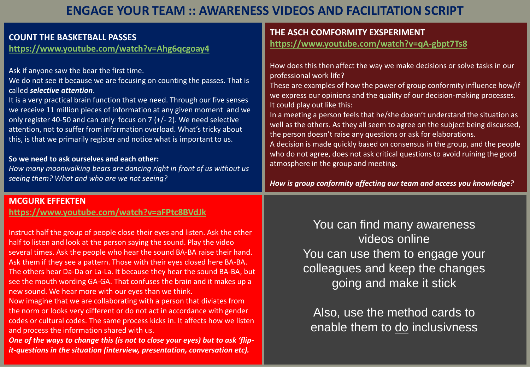#### **ENGAGE YOUR TEAM :: AWARENESS VIDEOS AND FACILITATION SCRIPT**

| <b>COUNT THE BASKETBALL PASSES</b><br>https://www.youtube.com/watch?v=Ahg6qcgoay4                                                                                                                                                                                                                                                                                                                                                                                                                                                                                                                                                                                                                                          | THE ASCH COMFORMITY EXSPERIMENT<br>https://www.youtube.com/watch?v=qA-gbpt7Ts8                                                                                                                                                                                                                                                                                                                                                                                                                                                                                                                                                                                                                                                                                                                                |
|----------------------------------------------------------------------------------------------------------------------------------------------------------------------------------------------------------------------------------------------------------------------------------------------------------------------------------------------------------------------------------------------------------------------------------------------------------------------------------------------------------------------------------------------------------------------------------------------------------------------------------------------------------------------------------------------------------------------------|---------------------------------------------------------------------------------------------------------------------------------------------------------------------------------------------------------------------------------------------------------------------------------------------------------------------------------------------------------------------------------------------------------------------------------------------------------------------------------------------------------------------------------------------------------------------------------------------------------------------------------------------------------------------------------------------------------------------------------------------------------------------------------------------------------------|
| Ask if anyone saw the bear the first time.<br>We do not see it because we are focusing on counting the passes. That is<br>called selective attention.<br>It is a very practical brain function that we need. Through our five senses<br>we receive 11 million pieces of information at any given moment and we<br>only register 40-50 and can only focus on 7 $(+/- 2)$ . We need selective<br>attention, not to suffer from information overload. What's tricky about<br>this, is that we primarily register and notice what is important to us.<br>So we need to ask ourselves and each other:<br>How many moonwalking bears are dancing right in front of us without us<br>seeing them? What and who are we not seeing? | How does this then affect the way we make decisions or solve tasks in our<br>professional work life?<br>These are examples of how the power of group conformity influence how/if<br>we express our opinions and the quality of our decision-making processes.<br>It could play out like this:<br>In a meeting a person feels that he/she doesn't understand the situation as<br>well as the others. As they all seem to agree on the subject being discussed,<br>the person doesn't raise any questions or ask for elaborations.<br>A decision is made quickly based on consensus in the group, and the people<br>who do not agree, does not ask critical questions to avoid ruining the good<br>atmosphere in the group and meeting.<br>How is group conformity affecting our team and access you knowledge? |
| <b>MCGURK EFFEKTEN</b><br>https://www.youtube.com/watch?v=aFPtc8BVdJk<br>Instruct half the group of people close their eyes and listen. Ask the other<br>half to listen and look at the person saying the sound. Play the video<br>several times. Ask the people who hear the sound BA-BA raise their hand.<br>Ask them if they see a pattern. Those with their eyes closed here BA-BA.                                                                                                                                                                                                                                                                                                                                    | You can find many awareness<br>videos online<br>You can use them to engage your<br>collaggues and keep the shoppes                                                                                                                                                                                                                                                                                                                                                                                                                                                                                                                                                                                                                                                                                            |

The others hear Da-Da or La-La. It because they hear the sound BA-BA, but see the mouth wording GA-GA. That confuses the brain and it makes up a new sound. We hear more with our eyes than we think.

Now imagine that we are collaborating with a person that diviates from the norm or looks very different or do not act in accordance with gender codes or cultural codes. The same process kicks in. It affects how we listen and process the information shared with us.

*One of the ways to change this (is not to close your eyes) but to ask 'flipit-questions in the situation (interview, presentation, conversation etc).*

colleagues and keep the changes going and make it stick

Also, use the method cards to enable them to do inclusivness